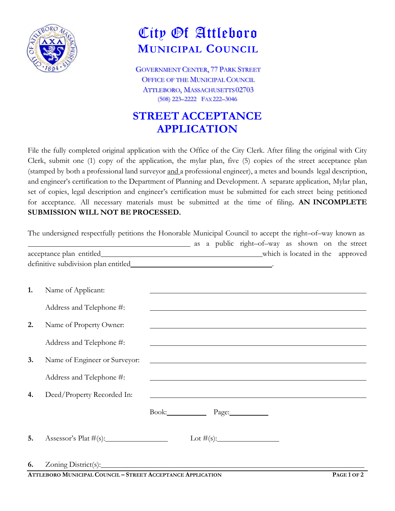

## City Of Attleboro **MUNICIPAL COUNCIL**

GOVERNMENT CENTER, 77 PARK STREET OFFICE OF THE MUNICIPAL COUNCIL ATTLEBORO, MASSACHUSETTS 02703 (508) 223–2222 FAX222–3046

## **STREET ACCEPTANCE APPLICATION**

File the fully completed original application with the Office of the City Clerk. After filing the original with City Clerk, submit one (1) copy of the application, the mylar plan, five (5) copies of the street acceptance plan (stamped by both a professional land surveyor and a professional engineer), a metes and bounds legal description, and engineer's certification to the Department of Planning and Development. A separate application, Mylar plan, set of copies, legal description and engineer's certification must be submitted for each street being petitioned for acceptance. All necessary materials must be submitted at the time of filing**. AN INCOMPLETE SUBMISSION WILL NOT BE PROCESSED.**

|    | The undersigned respectfully petitions the Honorable Municipal Council to accept the right-of-way known as |                                                                                                                        |  |                                                                                                                       |  |               |
|----|------------------------------------------------------------------------------------------------------------|------------------------------------------------------------------------------------------------------------------------|--|-----------------------------------------------------------------------------------------------------------------------|--|---------------|
|    | as a public right-of-way as shown on the street                                                            |                                                                                                                        |  |                                                                                                                       |  |               |
|    |                                                                                                            |                                                                                                                        |  |                                                                                                                       |  |               |
| 1. | Name of Applicant:                                                                                         |                                                                                                                        |  | <u> 1989 - Johann Stoff, deutscher Stoff, der Stoff, der Stoff, der Stoff, der Stoff, der Stoff, der Stoff, der S</u> |  |               |
|    | Address and Telephone #:                                                                                   | <u> 1989 - Johann Stoff, deutscher Stoffen und der Stoffen und der Stoffen und der Stoffen und der Stoffen und der</u> |  |                                                                                                                       |  |               |
| 2. | Name of Property Owner:                                                                                    |                                                                                                                        |  | <u> 1989 - Johann Stein, marwolaethau a bhann an t-</u>                                                               |  |               |
|    | Address and Telephone #:                                                                                   |                                                                                                                        |  | <u> 1980 - Johann Barn, mars ann an t-Amhain Aonaichte ann an t-Aonaichte ann an t-Aonaichte ann an t-Aonaichte a</u> |  |               |
| 3. | Name of Engineer or Surveyor:                                                                              | <u> 1989 - Johann Stoff, amerikansk politiker (d. 1989)</u>                                                            |  |                                                                                                                       |  |               |
|    | Address and Telephone #:                                                                                   |                                                                                                                        |  |                                                                                                                       |  |               |
| 4. | Deed/Property Recorded In:                                                                                 |                                                                                                                        |  | <u> 1989 - Johann Stoff, deutscher Stoff, der Stoff, der Stoff, der Stoff, der Stoff, der Stoff, der Stoff, der S</u> |  |               |
|    |                                                                                                            | Book: Page:                                                                                                            |  |                                                                                                                       |  |               |
| 5. |                                                                                                            |                                                                                                                        |  |                                                                                                                       |  |               |
| 6. | $A = 1$                                                                                                    |                                                                                                                        |  |                                                                                                                       |  | $B = -4 = -2$ |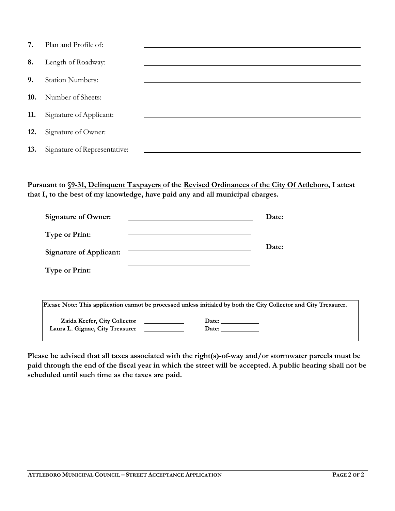| 7.  | Plan and Profile of:         |  |
|-----|------------------------------|--|
| 8.  | Length of Roadway:           |  |
| 9.  | <b>Station Numbers:</b>      |  |
| 10. | Number of Sheets:            |  |
| 11. | Signature of Applicant:      |  |
| 12. | Signature of Owner:          |  |
| 13. | Signature of Representative: |  |

**Pursuant to §9-31, Delinquent Taxpayers of the Revised Ordinances of the City Of Attleboro, I attest that I, to the best of my knowledge, have paid any and all municipal charges.**

| <b>Signature of Owner:</b>     |                                                                                                                   | Date: |
|--------------------------------|-------------------------------------------------------------------------------------------------------------------|-------|
| <b>Type or Print:</b>          |                                                                                                                   |       |
| <b>Signature of Applicant:</b> |                                                                                                                   | Date: |
| <b>Type or Print:</b>          |                                                                                                                   |       |
|                                |                                                                                                                   |       |
|                                | Please Note: This application cannot be processed unless initialed by both the City Collector and City Treasurer. |       |
| Zaida Keefer, City Collector   | Date: $\_\_$                                                                                                      |       |

**Please be advised that all taxes associated with the right(s)-of-way and/or stormwater parcels must be paid through the end of the fiscal year in which the street will be accepted. A public hearing shall not be scheduled until such time as the taxes are paid.** 

Date:

Laura L. Gignac, City Treasurer